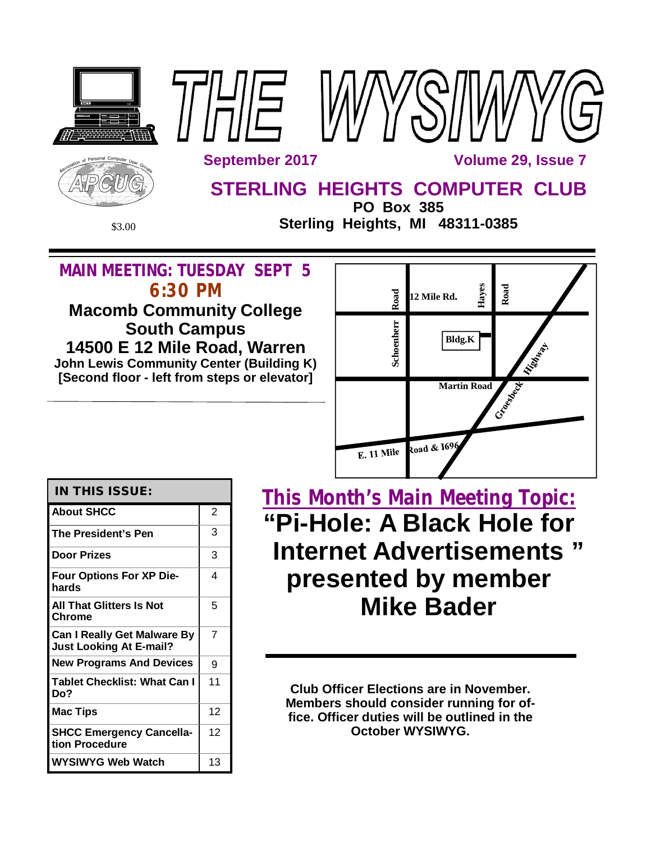

# **MAIN MEETING: TUESDAY SEPT 5 6:30 PM**

**Macomb Community College South Campus 14500 E 12 Mile Road, Warren John Lewis Community Center (Building K) [Second floor - left from steps or elevator]**



## **IN THIS ISSUE:**

| <b>About SHCC</b>                                                    | 2  |
|----------------------------------------------------------------------|----|
| The President's Pen                                                  | 3  |
| <b>Door Prizes</b>                                                   | 3  |
| <b>Four Options For XP Die-</b><br>hards                             | 4  |
| <b>All That Glitters Is Not</b><br>Chrome                            | 5  |
| <b>Can I Really Get Malware By</b><br><b>Just Looking At E-mail?</b> | 7  |
| <b>New Programs And Devices</b>                                      | 9  |
| <b>Tablet Checklist: What Can I</b><br>Do?                           | 11 |
| <b>Mac Tips</b>                                                      | 12 |
| <b>SHCC Emergency Cancella-</b><br>tion Procedure                    | 12 |
| WYSIWYG Web Watch                                                    | 13 |

**This Month's Main Meeting Topic: "Pi-Hole: A Black Hole for Internet Advertisements " presented by member Mike Bader**

**Club Officer Elections are in November. Members should consider running for office. Officer duties will be outlined in the October WYSIWYG.**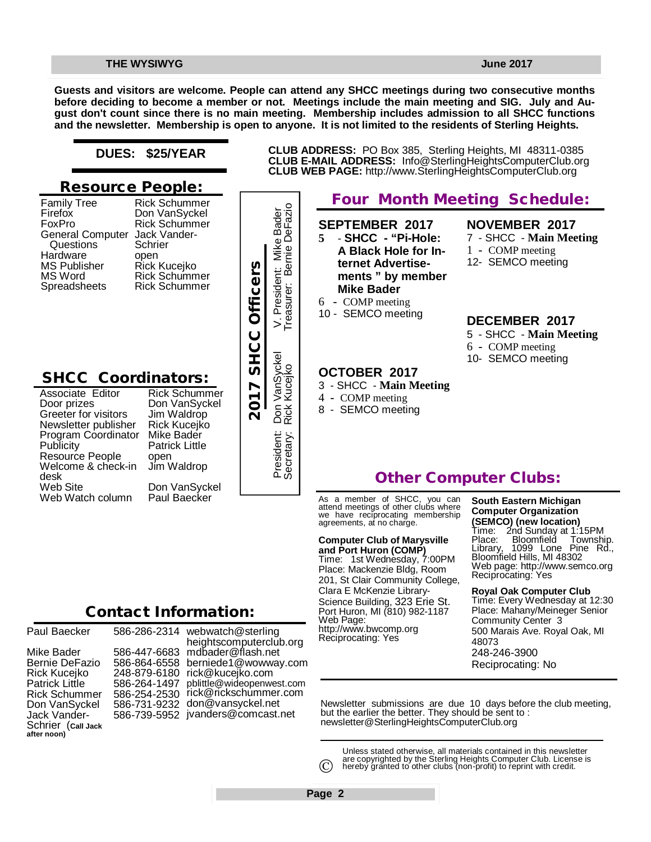**Guests and visitors are welcome. People can attend any SHCC meetings during two consecutive months before deciding to become a member or not. Meetings include the main meeting and SIG. July and August don't count since there is no main meeting. Membership includes admission to all SHCC functions and the newsletter. Membership is open to anyone. It is not limited to the residents of Sterling Heights.**

### **DUES: \$25/YEAR**

### **Resource People:**

| <b>Family Tree</b>      | <b>Rick Schummer</b>          |
|-------------------------|-------------------------------|
| Firefox                 | Don VanSyckel                 |
| FoxPro                  | <b>Rick Schummer</b>          |
| <b>General Computer</b> | Jack Vander-                  |
| Questions               | Schrier                       |
| Hardware                | open                          |
| <b>MS Publisher</b>     |                               |
| MS Word                 | Rick Kucejko<br>Rick Schummer |
| Spreadsheets            | <b>Rick Schummer</b>          |
|                         |                               |

## **SHCC Coordinators:**

Rick Schummer Don VanSyckel Jim Waldrop Rick Kucejko Mike Bader Patrick Little open Jim Waldrop Don VanSyckel Paul Baecker France Rick Kucejko<br>
Rick Schummer<br>
Rick Schummer<br>
Pass<br> **2017 SHCC Officer Rick Schummer**<br>
Pass<br>
Don VanSyckel<br>
Coordinator Mike Bader<br>
People open<br>
& check-in Jim Waldrop<br>
Don VanSyckel<br>
Christen Paul Baecker<br>
Paul Baeck



# **Four Month Meeting Schedule: CLUB WEB PAGE:** <http://www.SterlingHeightsComputerClub.org>

**CLUB ADDRESS:** PO Box 385, Sterling Heights, MI 48311-0385 **CLUB E-MAIL ADDRESS:** [Info@SterlingHeightsComputerClub.org](mailto:Info@SterlingHeightsComputerClub.org)

**SEPTEMBER 2017**

- **5 SHCC - "Pi-Hole: A Black Hole for Internet Advertisements " by member Mike Bader**
- 6 COMP meeting
- 10 SEMCO meeting

### **OCTOBER 2017**

- 3 SHCC **Main Meeting**
- 4 COMP meeting
- 8 SEMCO meeting
- **NOVEMBER 2017**
- 7 SHCC **Main Meeting**
- 1 COMP meeting
- 12- SEMCO meeting

#### **DECEMBER 2017**

- 5 SHCC **Main Meeting** 6 **-** COMP meeting
- 10- SEMCO meeting

# **Other Computer Clubs:**

As a member of SHCC, you can attend meetings of other clubs where we have reciprocating membership agreements, at no charge.

#### **Computer Club of Marysville**

**and Port Huron (COMP)** Time: 1st Wednesday, 7:00PM Place: Mackenzie Bldg, Room 201, St Clair Community College, Clara E McKenzie Library-Science Building, 323 Erie St. Port Huron, MI (810) 982-1187 Web Page: <http://www.bwcomp.org> Reciprocating: Yes

### **South Eastern Michigan Computer Organization**

**(SEMCO) (new location)** Time: 2nd Sunday at 1:15PM Place: Bloomfield Township. Library, 1099 Lone Pine Rd., Library, 1099 Lone Pin<br>Bloomfield Hills, MI 48302 Web page: <http://www.semco.org> Reciprocating: Yes

#### **Royal Oak Computer Club** Time: Every Wednesday at 12:30 Place: Mahany/Meineger Senior Community Center 3 500 Marais Ave. Royal Oak, MI 48073

248-246-3900

Reciprocating: No

Newsletter submissions are due 10 days before the club meeting, but the earlier the better. They should be sent to : [newsletter@SterlingHeightsComputerClub.org](mailto:newsletter@SterlingHeightsComputerClub.org)

Unless stated otherwise, all materials contained in this newsletter are copyrighted by the Sterling Heights Computer Club. License is hereby granted to other clubs (non-profit) to reprint with credit.  $\odot$ 

| Paul Baecker                                                                                                                                                 | 58                                     |
|--------------------------------------------------------------------------------------------------------------------------------------------------------------|----------------------------------------|
| Mike Bader<br>Bernie DeFazio<br>Rick Kucejko<br>Patrick Little<br><b>Rick Schummer</b><br>Don VanSyckel<br>Jack Vander-<br>Schrier (call Jack<br>after noon) | 58<br>58<br>24<br>58<br>58<br>58<br>58 |

586-286-2314 webwatch@sterling 586-447-6683 [mdbader@flash.net](mailto:mdbader@flash.net) 586-864-6558 [berniede1@wowway.com](mailto:berniede1@wowway.com) 248-879-6180 [rick@kucejko.com](mailto:rick@kucejko.com) 586-264-1497 [pblittle@wideopenwest.com](mailto:pblittle@wideopenwest.com) 586-254-2530 [rick@rickschummer.com](mailto:rick@rickschummer.com) 586-731-9232 [don@vansyckel.net](mailto:don@vansyckel.net) 586-739-5952 [jvanders@comcast.net](mailto:jvanders@comcast.net) heightscomputerclub.org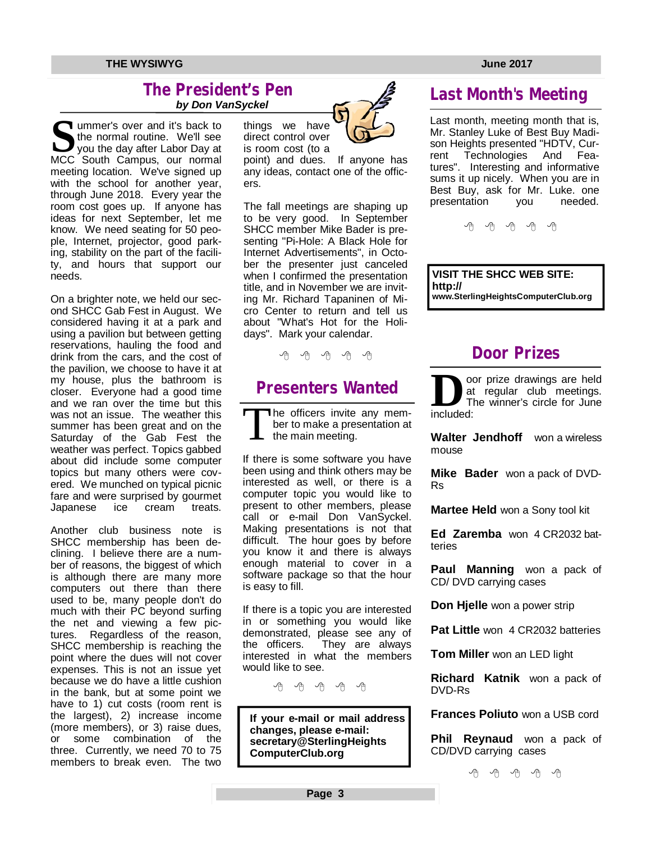### **The President's Pen**   *by Don VanSyckel*

South Campus, over and it's back to<br>
the normal routine. We'll see<br>
you the day after Labor Day at<br>
MCC South Campus, our normal **I** ummer's over and it's back to the normal routine. We'll see  $\blacktriangledown$  you the day after Labor Day at meeting location. We've signed up with the school for another year, through June 2018. Every year the room cost goes up. If anyone has ideas for next September, let me know. We need seating for 50 people, Internet, projector, good parking, stability on the part of the facility, and hours that support our needs.

On a brighter note, we held our second SHCC Gab Fest in August. We considered having it at a park and using a pavilion but between getting reservations, hauling the food and drink from the cars, and the cost of the pavilion, we choose to have it at my house, plus the bathroom is closer. Everyone had a good time and we ran over the time but this was not an issue. The weather this summer has been great and on the Saturday of the Gab Fest the weather was perfect. Topics gabbed about did include some computer topics but many others were covered. We munched on typical picnic fare and were surprised by gourmet Japanese ice cream treats.

Another club business note is SHCC membership has been declining. I believe there are a number of reasons, the biggest of which is although there are many more computers out there than there used to be, many people don't do much with their PC beyond surfing the net and viewing a few pic-<br>tures. Regardless of the reason, Regardless of the reason, SHCC membership is reaching the point where the dues will not cover expenses. This is not an issue yet because we do have a little cushion in the bank, but at some point we have to 1) cut costs (room rent is the largest), 2) increase income (more members), or 3) raise dues, or some combination of the three. Currently, we need 70 to 75 members to break even. The two



point) and dues. If anyone has any ideas, contact one of the officers.

The fall meetings are shaping up to be very good. In September SHCC member Mike Bader is presenting "Pi-Hole: A Black Hole for Internet Advertisements", in October the presenter just canceled when I confirmed the presentation title, and in November we are inviting Mr. Richard Tapaninen of Micro Center to return and tell us about "What's Hot for the Holidays". Mark your calendar.

平 平 平 平

# **Presenters Wanted**

T he officers invite any member to make a presentation at the main meeting.

If there is some software you have been using and think others may be interested as well, or there is a computer topic you would like to present to other members, please call or e-mail Don VanSyckel. Making presentations is not that difficult. The hour goes by before you know it and there is always enough material to cover in a software package so that the hour is easy to fill.

If there is a topic you are interested in or something you would like demonstrated, please see any of<br>the officers. They are always They are always. interested in what the members would like to see.

唯 咱 咱 咱 咱

**If your e-mail or mail address changes, please e-mail: secretary@SterlingHeights ComputerClub.org**

# **Last Month's Meeting**

Last month, meeting month that is, Mr. Stanley Luke of Best Buy Madison Heights presented "HDTV, Current Technologies And Features". Interesting and informative sums it up nicely. When you are in Best Buy, ask for Mr. Luke. one presentation you needed.

e e e e e

**VISIT THE SHCC WEB SITE: <http://> [www.SterlingHeightsComputerClub.org](http://www.SterlingHeightsComputerClub.org)**

# **Door Prizes**

**D**at<br>
included: oor prize drawings are held at regular club meetings. The winner's circle for June

**Walter Jendhoff** won a wireless mouse

**Mike Bader** won a pack of DVD-Rs

**Martee Held** won a Sony tool kit

**Ed Zaremba** won 4 CR2032 batteries

**Paul Manning** won a pack of CD/ DVD carrying cases

**Don Hjelle** won a power strip

**Pat Little** won 4 CR2032 batteries

**Tom Miller** won an LED light

**Richard Katnik** won a pack of DVD-Rs

**Frances Poliuto** won a USB cord

**Phil Reynaud** won a pack of CD/DVD carrying cases

 $A$   $A$   $A$   $A$   $A$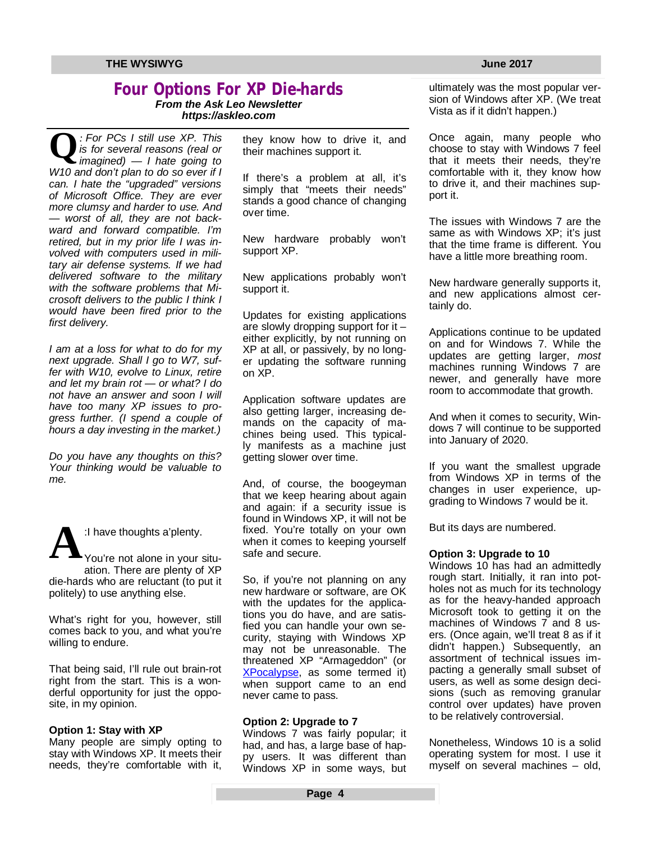# **Four Options For XP Die-hards**

*From the Ask Leo Newsletter <https://askleo.com>*

**Q** *imagined) — I hate going to : For PCs I still use XP. This is for several reasons (real or W10 and don't plan to do so ever if I can. I hate the "upgraded" versions of Microsoft Office. They are ever more clumsy and harder to use. And — worst of all, they are not backward and forward compatible. I'm retired, but in my prior life I was involved with computers used in military air defense systems. If we had delivered software to the military with the software problems that Microsoft delivers to the public I think I would have been fired prior to the first delivery.*

*I am at a loss for what to do for my next upgrade. Shall I go to W7, suffer with W10, evolve to Linux, retire and let my brain rot — or what? I do not have an answer and soon I will have too many XP issues to progress further. (I spend a couple of hours a day investing in the market.)*

*Do you have any thoughts on this? Your thinking would be valuable to me.*



:I have thoughts a'plenty.

You're not alone in your situation. There are plenty of XP die-hards who are reluctant (to put it politely) to use anything else.

What's right for you, however, still comes back to you, and what you're willing to endure.

That being said, I'll rule out brain-rot right from the start. This is a wonderful opportunity for just the opposite, in my opinion.

#### **Option 1: Stay with XP**

Many people are simply opting to stay with Windows XP. It meets their needs, they're comfortable with it, they know how to drive it, and their machines support it.

If there's a problem at all, it's simply that "meets their needs" stands a good chance of changing over time.

New hardware probably won't support XP.

New applications probably won't support it.

Updates for existing applications are slowly dropping support for it – either explicitly, by not running on XP at all, or passively, by no longer updating the software running on XP.

Application software updates are also getting larger, increasing demands on the capacity of machines being used. This typically manifests as a machine just getting slower over time.

And, of course, the boogeyman that we keep hearing about again and again: if a security issue is found in Windows XP, it will not be fixed. You're totally on your own when it comes to keeping yourself safe and secure.

So, if you're not planning on any new hardware or software, are OK with the updates for the applications you do have, and are satisfied you can handle your own security, staying with Windows XP may not be unreasonable. The threatened XP "Armageddon" (or XPocalypse, as some termed it) when support came to an end never came to pass.

#### **Option 2: Upgrade to 7**

Windows 7 was fairly popular; it had, and has, a large base of happy users. It was different than Windows XP in some ways, but ultimately was the most popular version of Windows after XP. (We treat Vista as if it didn't happen.)

Once again, many people who choose to stay with Windows 7 feel that it meets their needs, they're comfortable with it, they know how to drive it, and their machines support it.

The issues with Windows 7 are the same as with Windows XP; it's just that the time frame is different. You have a little more breathing room.

New hardware generally supports it, and new applications almost certainly do.

Applications continue to be updated on and for Windows 7. While the updates are getting larger, *most* machines running Windows 7 are newer, and generally have more room to accommodate that growth.

And when it comes to security, Windows 7 will continue to be supported into January of 2020.

If you want the smallest upgrade from Windows XP in terms of the changes in user experience, upgrading to Windows 7 would be it.

But its days are numbered.

#### **Option 3: Upgrade to 10**

Windows 10 has had an admittedly rough start. Initially, it ran into potholes not as much for its technology as for the heavy-handed approach Microsoft took to getting it on the machines of Windows 7 and 8 users. (Once again, we'll treat 8 as if it didn't happen.) Subsequently, an assortment of technical issues impacting a generally small subset of users, as well as some design decisions (such as removing granular control over updates) have proven to be relatively controversial.

Nonetheless, Windows 10 is a solid operating system for most. I use it myself on several machines – old,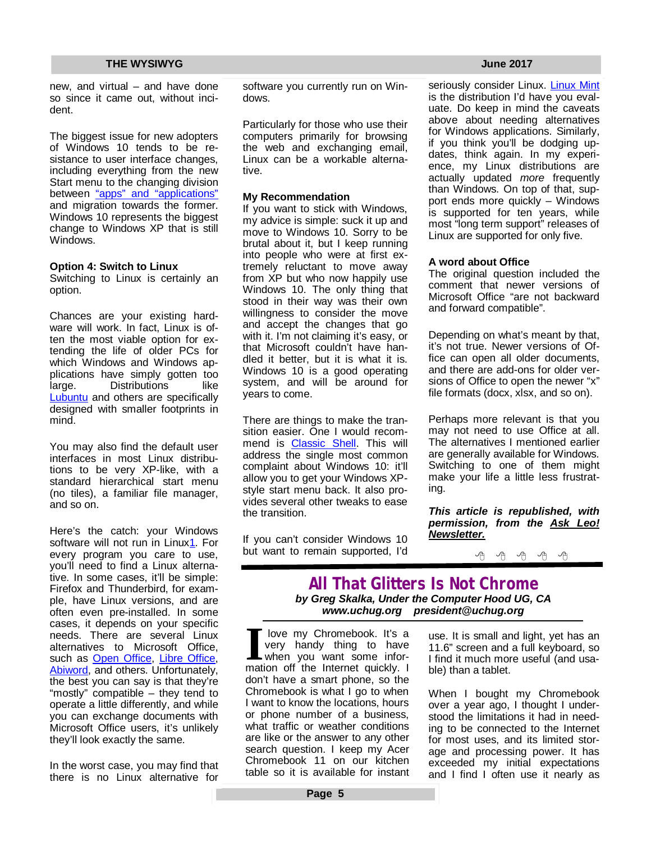new, and virtual – and have done so since it came out, without incident.

The biggest issue for new adopters of Windows 10 tends to be resistance to user interface changes, including everything from the new Start menu to the changing division between "apps" and "applications" and migration towards the former. Windows 10 represents the biggest change to Windows XP that is still Windows.

#### **Option 4: Switch to Linux**

Switching to Linux is certainly an option.

Chances are your existing hardware will work. In fact, Linux is often the most viable option for extending the life of older PCs for which Windows and Windows applications have simply gotten too<br>large bistributions like large. Distributions Lubuntu and others are specifically designed with smaller footprints in mind.

You may also find the default user interfaces in most Linux distributions to be very XP-like, with a standard hierarchical start menu (no tiles), a familiar file manager, and so on.

Here's the catch: your Windows software will not run in Linux1. For every program you care to use, you'll need to find a Linux alternative. In some cases, it'll be simple: Firefox and Thunderbird, for example, have Linux versions, and are often even pre-installed. In some cases, it depends on your specific needs. There are several Linux alternatives to Microsoft Office, such as Open Office, Libre Office, Abiword, and others. Unfortunately, the best you can say is that they're "mostly" compatible – they tend to operate a little differently, and while you can exchange documents with Microsoft Office users, it's unlikely they'll look exactly the same.

In the worst case, you may find that there is no Linux alternative for

software you currently run on Windows.

Particularly for those who use their computers primarily for browsing the web and exchanging email. Linux can be a workable alternative.

#### **My Recommendation**

If you want to stick with Windows, my advice is simple: suck it up and move to Windows 10. Sorry to be brutal about it, but I keep running into people who were at first extremely reluctant to move away from XP but who now happily use Windows 10. The only thing that stood in their way was their own willingness to consider the move and accept the changes that go with it. I'm not claiming it's easy, or that Microsoft couldn't have handled it better, but it is what it is. Windows 10 is a good operating system, and will be around for years to come.

There are things to make the transition easier. One I would recommend is Classic Shell. This will address the single most common complaint about Windows 10: it'll allow you to get your Windows XPstyle start menu back. It also provides several other tweaks to ease the transition.

If you can't consider Windows 10 but want to remain supported, I'd

seriously consider Linux. Linux Mint is the distribution I'd have you evaluate. Do keep in mind the caveats above about needing alternatives for Windows applications. Similarly, if you think you'll be dodging updates, think again. In my experience, my Linux distributions are actually updated *more* frequently than Windows. On top of that, support ends more quickly – Windows is supported for ten years, while most "long term support" releases of Linux are supported for only five.

#### **A word about Office**

The original question included the comment that newer versions of Microsoft Office "are not backward and forward compatible".

Depending on what's meant by that, it's not true. Newer versions of Office can open all older documents, and there are add-ons for older versions of Office to open the newer "x" file formats (docx, xlsx, and so on).

Perhaps more relevant is that you may not need to use Office at all. The alternatives I mentioned earlier are generally available for Windows. Switching to one of them might make your life a little less frustrating.

*This article is republished, with permission, from the Ask Leo! Newsletter.* 



### **All That Glitters Is Not Chrome** *by Greg Skalka, Under the Computer Hood UG, CA [www.uchug.org](http://www.uchug.org) [president@uchug.org](mailto:president@uchug.org)*

**I** love my Chromebook. It's a very handy thing to have when you want some information off the Internet quickly. I love my Chromebook. It's a very handy thing to have when you want some infordon't have a smart phone, so the Chromebook is what I go to when I want to know the locations, hours or phone number of a business, what traffic or weather conditions are like or the answer to any other search question. I keep my Acer Chromebook 11 on our kitchen table so it is available for instant

use. It is small and light, yet has an 11.6" screen and a full keyboard, so I find it much more useful (and usable) than a tablet.

When I bought my Chromebook over a year ago, I thought I understood the limitations it had in needing to be connected to the Internet for most uses, and its limited storage and processing power. It has exceeded my initial expectations and I find I often use it nearly as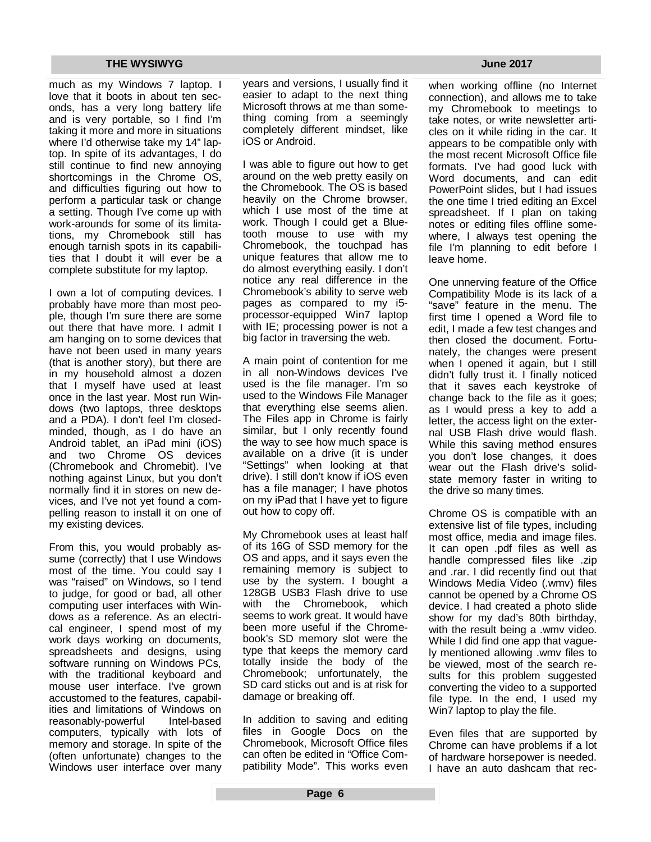much as my Windows 7 laptop. I love that it boots in about ten seconds, has a very long battery life and is very portable, so I find I'm taking it more and more in situations where I'd otherwise take my 14" laptop. In spite of its advantages, I do still continue to find new annoying shortcomings in the Chrome OS, and difficulties figuring out how to perform a particular task or change a setting. Though I've come up with work-arounds for some of its limitations, my Chromebook still has enough tarnish spots in its capabilities that I doubt it will ever be a complete substitute for my laptop.

I own a lot of computing devices. I probably have more than most people, though I'm sure there are some out there that have more. I admit I am hanging on to some devices that have not been used in many years (that is another story), but there are in my household almost a dozen that I myself have used at least once in the last year. Most run Windows (two laptops, three desktops and a PDA). I don't feel I'm closedminded, though, as I do have an Android tablet, an iPad mini (iOS) and two Chrome OS devices (Chromebook and Chromebit). I've nothing against Linux, but you don't normally find it in stores on new devices, and I've not yet found a compelling reason to install it on one of my existing devices.

From this, you would probably assume (correctly) that I use Windows most of the time. You could say I was "raised" on Windows, so I tend to judge, for good or bad, all other computing user interfaces with Windows as a reference. As an electrical engineer, I spend most of my work days working on documents, spreadsheets and designs, using software running on Windows PCs, with the traditional keyboard and mouse user interface. I've grown accustomed to the features, capabilities and limitations of Windows on reasonably-powerful Intel-based computers, typically with lots of memory and storage. In spite of the (often unfortunate) changes to the Windows user interface over many years and versions, I usually find it easier to adapt to the next thing Microsoft throws at me than something coming from a seemingly completely different mindset, like iOS or Android.

I was able to figure out how to get around on the web pretty easily on the Chromebook. The OS is based heavily on the Chrome browser, which I use most of the time at work. Though I could get a Bluetooth mouse to use with my Chromebook, the touchpad has unique features that allow me to do almost everything easily. I don't notice any real difference in the Chromebook's ability to serve web pages as compared to my i5 processor-equipped Win7 laptop with IE; processing power is not a big factor in traversing the web.

A main point of contention for me in all non-Windows devices I've used is the file manager. I'm so used to the Windows File Manager that everything else seems alien. The Files app in Chrome is fairly similar, but I only recently found the way to see how much space is available on a drive (it is under "Settings" when looking at that drive). I still don't know if iOS even has a file manager; I have photos on my iPad that I have yet to figure out how to copy off.

My Chromebook uses at least half of its 16G of SSD memory for the OS and apps, and it says even the remaining memory is subject to use by the system. I bought a 128GB USB3 Flash drive to use with the Chromebook, which seems to work great. It would have been more useful if the Chromebook's SD memory slot were the type that keeps the memory card totally inside the body of the Chromebook; unfortunately, the SD card sticks out and is at risk for damage or breaking off.

In addition to saving and editing files in Google Docs on the Chromebook, Microsoft Office files can often be edited in "Office Compatibility Mode". This works even

when working offline (no Internet connection), and allows me to take my Chromebook to meetings to take notes, or write newsletter articles on it while riding in the car. It appears to be compatible only with the most recent Microsoft Office file formats. I've had good luck with Word documents, and can edit PowerPoint slides, but I had issues the one time I tried editing an Excel spreadsheet. If I plan on taking notes or editing files offline somewhere, I always test opening the file I'm planning to edit before I leave home.

One unnerving feature of the Office Compatibility Mode is its lack of a "save" feature in the menu. The first time I opened a Word file to edit, I made a few test changes and then closed the document. Fortunately, the changes were present when I opened it again, but I still didn't fully trust it. I finally noticed that it saves each keystroke of change back to the file as it goes; as I would press a key to add a letter, the access light on the external USB Flash drive would flash. While this saving method ensures you don't lose changes, it does wear out the Flash drive's solidstate memory faster in writing to the drive so many times.

Chrome OS is compatible with an extensive list of file types, including most office, media and image files. It can open .pdf files as well as handle compressed files like .zip and .rar. I did recently find out that Windows Media Video (.wmv) files cannot be opened by a Chrome OS device. I had created a photo slide show for my dad's 80th birthday, with the result being a .wmv video. While I did find one app that vaguely mentioned allowing .wmv files to be viewed, most of the search results for this problem suggested converting the video to a supported file type. In the end, I used my Win7 laptop to play the file.

Even files that are supported by Chrome can have problems if a lot of hardware horsepower is needed. I have an auto dashcam that rec-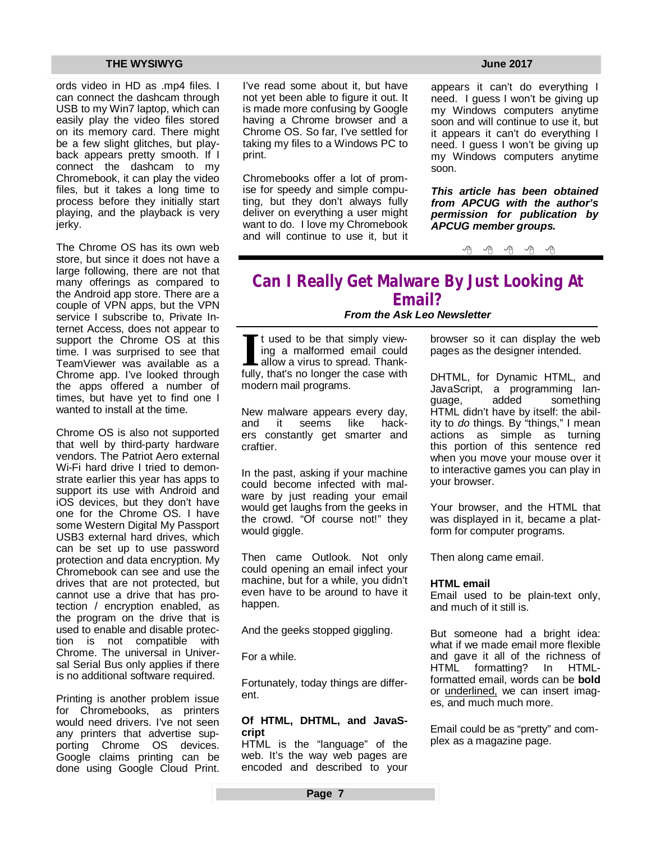ords video in HD as .mp4 files. I can connect the dashcam through USB to my Win7 laptop, which can easily play the video files stored on its memory card. There might be a few slight glitches, but playback appears pretty smooth. If I connect the dashcam to my Chromebook, it can play the video files, but it takes a long time to process before they initially start playing, and the playback is very ierky.

The Chrome OS has its own web store, but since it does not have a large following, there are not that many offerings as compared to the Android app store. There are a couple of VPN apps, but the VPN service I subscribe to, Private Internet Access, does not appear to support the Chrome OS at this time. I was surprised to see that TeamViewer was available as a Chrome app. I've looked through the apps offered a number of times, but have yet to find one I wanted to install at the time.

Chrome OS is also not supported that well by third-party hardware vendors. The Patriot Aero external Wi-Fi hard drive I tried to demonstrate earlier this year has apps to support its use with Android and iOS devices, but they don't have one for the Chrome OS. I have some Western Digital My Passport USB3 external hard drives, which can be set up to use password protection and data encryption. My Chromebook can see and use the drives that are not protected, but cannot use a drive that has protection / encryption enabled, as the program on the drive that is used to enable and disable protection is not compatible with Chrome. The universal in Universal Serial Bus only applies if there is no additional software required.

Printing is another problem issue for Chromebooks, as printers would need drivers. I've not seen any printers that advertise supporting Chrome OS devices. Google claims printing can be done using Google Cloud Print. I've read some about it, but have not yet been able to figure it out. It is made more confusing by Google having a Chrome browser and a Chrome OS. So far, I've settled for taking my files to a Windows PC to print.

Chromebooks offer a lot of promise for speedy and simple computing, but they don't always fully deliver on everything a user might want to do. I love my Chromebook and will continue to use it, but it

appears it can't do everything I need. I guess I won't be giving up my Windows computers anytime soon and will continue to use it, but it appears it can't do everything I need. I guess I won't be giving up my Windows computers anytime soon.

*This article has been obtained from APCUG with the author's permission for publication by APCUG member groups.*

平 平 平 平 平

## **Can I Really Get Malware By Just Looking At Email?** *From the Ask Leo Newsletter*

If t used to be that simply viewing a malformed email could allow a virus to spread. Thank-<br>fully, that's no longer the case with t used to be that simply viewing a malformed email could allow a virus to spread. Thankmodern mail programs.

New malware appears every day, and it seems like hackers constantly get smarter and craftier.

In the past, asking if your machine could become infected with malware by just reading your email would get laughs from the geeks in the crowd. "Of course not!" they would giggle.

Then came Outlook. Not only could opening an email infect your machine, but for a while, you didn't even have to be around to have it happen.

And the geeks stopped giggling.

For a while.

Fortunately, today things are different.

#### **Of HTML, DHTML, and JavaScript**

HTML is the "language" of the web. It's the way web pages are encoded and described to your browser so it can display the web pages as the designer intended.

DHTML, for Dynamic HTML, and JavaScript, a programming language, added something HTML didn't have by itself: the ability to *do* things. By "things," I mean actions as simple as turning this portion of this sentence red when you move your mouse over it to interactive games you can play in your browser.

Your browser, and the HTML that was displayed in it, became a platform for computer programs.

Then along came email.

#### **HTML email**

Email used to be plain-text only, and much of it still is.

But someone had a bright idea: what if we made email more flexible and gave it all of the richness of HTML formatting? In HTMLformatted email, words can be **bold** or underlined, we can insert images, and much much more.

Email could be as "pretty" and complex as a magazine page.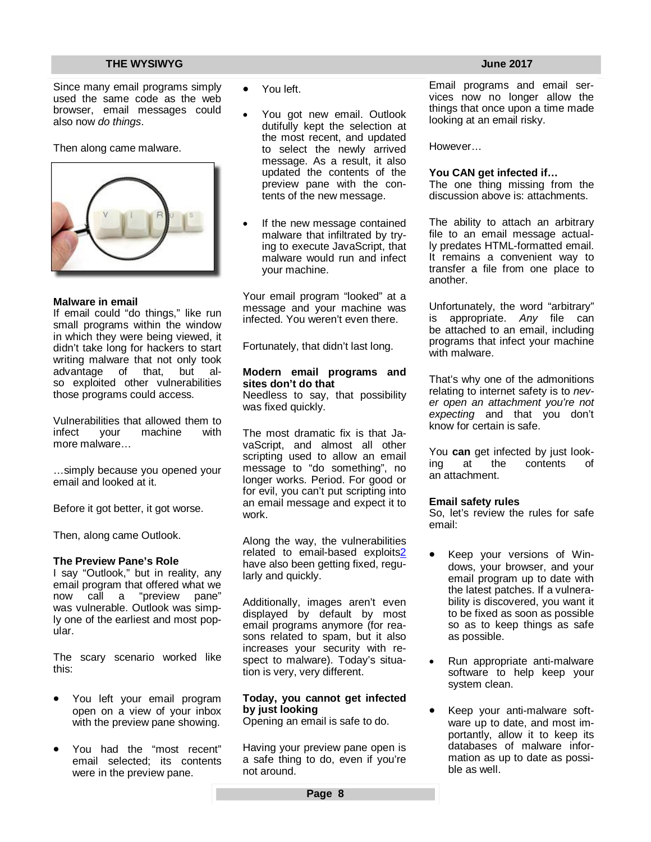Since many email programs simply used the same code as the web browser, email messages could also now *do things*.

Then along came malware.



### **Malware in email**

If email could "do things," like run small programs within the window in which they were being viewed, it didn't take long for hackers to start writing malware that not only took advantage of that, but also exploited other vulnerabilities those programs could access.

Vulnerabilities that allowed them to<br>infect vour machine with vour machine more malware…

…simply because you opened your email and looked at it.

Before it got better, it got worse.

Then, along came Outlook.

#### **The Preview Pane's Role**

I say "Outlook," but in reality, any email program that offered what we now call a "preview pane" was vulnerable. Outlook was simply one of the earliest and most popular.

The scary scenario worked like this:

- You left your email program open on a view of your inbox with the preview pane showing.
- You had the "most recent" email selected; its contents were in the preview pane.
- You left.
- You got new email. Outlook dutifully kept the selection at the most recent, and updated to select the newly arrived message. As a result, it also updated the contents of the preview pane with the contents of the new message.
- If the new message contained malware that infiltrated by trying to execute JavaScript, that malware would run and infect your machine.

Your email program "looked" at a message and your machine was infected. You weren't even there.

Fortunately, that didn't last long.

#### **Modern email programs and sites don't do that**

Needless to say, that possibility was fixed quickly.

The most dramatic fix is that JavaScript, and almost all other scripting used to allow an email message to "do something", no longer works. Period. For good or for evil, you can't put scripting into an email message and expect it to work.

Along the way, the vulnerabilities related to email-based exploits2 have also been getting fixed, regularly and quickly.

Additionally, images aren't even displayed by default by most email programs anymore (for reasons related to spam, but it also increases your security with respect to malware). Today's situation is very, very different.

### **Today, you cannot get infected by just looking**

Opening an email is safe to do.

Having your preview pane open is a safe thing to do, even if you're not around.

Email programs and email services now no longer allow the things that once upon a time made looking at an email risky.

However…

#### **You CAN get infected if…**

The one thing missing from the discussion above is: attachments.

The ability to attach an arbitrary file to an email message actually predates HTML-formatted email. It remains a convenient way to transfer a file from one place to another.

Unfortunately, the word "arbitrary" is appropriate. *Any* file can be attached to an email, including programs that infect your machine with malware.

That's why one of the admonitions relating to internet safety is to *never open an attachment you're not expecting* and that you don't know for certain is safe.

You **can** get infected by just looking at the contents of an attachment.

#### **Email safety rules**

So, let's review the rules for safe email:

- Keep your versions of Windows, your browser, and your email program up to date with the latest patches. If a vulnerability is discovered, you want it to be fixed as soon as possible so as to keep things as safe as possible.
- Run appropriate anti-malware software to help keep your system clean.
- Keep your anti-malware software up to date, and most importantly, allow it to keep its databases of malware information as up to date as possible as well.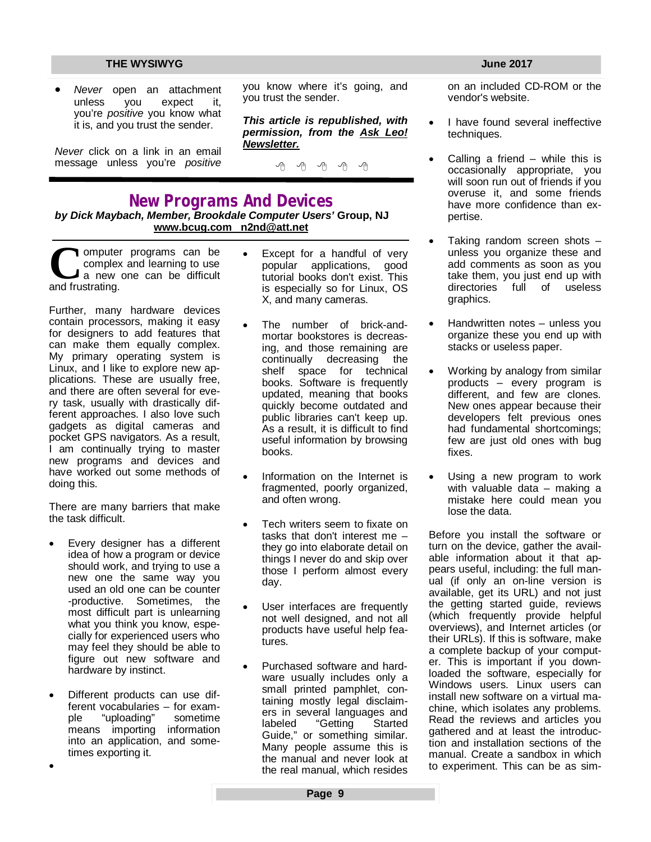*Never* open an attachment unless you expect it, you're *positive* you know what it is, and you trust the sender.

*Never* click on a link in an email message unless you're *positive* you know where it's going, and you trust the sender.

*This article is republished, with permission, from the Ask Leo! Newsletter.* 

平 平 平 平 平

# **New Programs And Devices**

*by Dick Maybach, Member, Brookdale Computer Users'* **Group, NJ [www.bcug.com](http://www.bcug.com) [n2nd@att.net](mailto:n2nd@att.net)**

**C**complex<br>
and frustrating. omputer programs can be complex and learning to use a new one can be difficult

Further, many hardware devices contain processors, making it easy for designers to add features that can make them equally complex. My primary operating system is Linux, and I like to explore new applications. These are usually free, and there are often several for every task, usually with drastically different approaches. I also love such gadgets as digital cameras and pocket GPS navigators. As a result, I am continually trying to master new programs and devices and have worked out some methods of doing this.

There are many barriers that make the task difficult.

- Every designer has a different idea of how a program or device should work, and trying to use a new one the same way you used an old one can be counter -productive. Sometimes, the most difficult part is unlearning what you think you know, especially for experienced users who may feel they should be able to figure out new software and hardware by instinct.
- Different products can use different vocabularies – for example "uploading" sometime means importing information into an application, and sometimes exporting it.

 $\bullet$ 

- Except for a handful of very popular applications, good tutorial books don't exist. This is especially so for Linux, OS X, and many cameras.
- The number of brick-andmortar bookstores is decreasing, and those remaining are continually decreasing the shelf space for technical books. Software is frequently updated, meaning that books quickly become outdated and public libraries can't keep up. As a result, it is difficult to find useful information by browsing books.
- Information on the Internet is fragmented, poorly organized, and often wrong.
- Tech writers seem to fixate on tasks that don't interest me – they go into elaborate detail on things I never do and skip over those I perform almost every day.
- User interfaces are frequently not well designed, and not all products have useful help features.
- Purchased software and hardware usually includes only a small printed pamphlet, containing mostly legal disclaimers in several languages and labeled "Getting Started Guide," or something similar. Many people assume this is the manual and never look at the real manual, which resides

on an included CD-ROM or the vendor's website.

- I have found several ineffective techniques.
- Calling a friend while this is occasionally appropriate, you will soon run out of friends if you overuse it, and some friends have more confidence than expertise.
- Taking random screen shots unless you organize these and add comments as soon as you take them, you just end up with directories full of useless graphics.
- Handwritten notes unless you organize these you end up with stacks or useless paper.
- Working by analogy from similar products – every program is different, and few are clones. New ones appear because their developers felt previous ones had fundamental shortcomings; few are just old ones with bug fixes.
- Using a new program to work with valuable data – making a mistake here could mean you lose the data.

Before you install the software or turn on the device, gather the available information about it that appears useful, including: the full manual (if only an on-line version is available, get its URL) and not just the getting started guide, reviews (which frequently provide helpful overviews), and Internet articles (or their URLs). If this is software, make a complete backup of your computer. This is important if you downloaded the software, especially for Windows users. Linux users can install new software on a virtual machine, which isolates any problems. Read the reviews and articles you gathered and at least the introduction and installation sections of the manual. Create a sandbox in which to experiment. This can be as sim-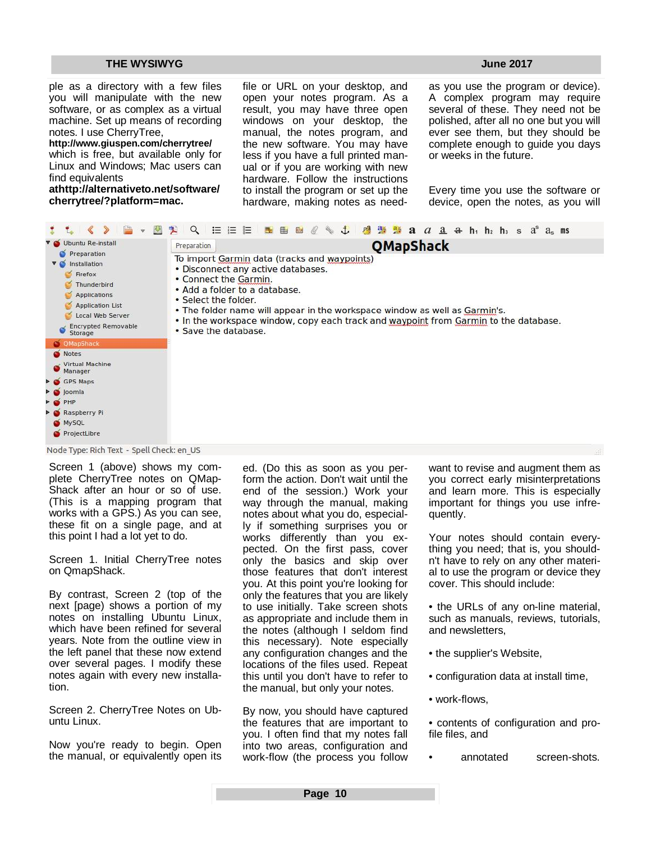ple as a directory with a few files you will manipulate with the new software, or as complex as a virtual machine. Set up means of recording notes. I use CherryTree,

#### **<http://www.giuspen.com/cherrytree/>**

which is free, but available only for Linux and Windows; Mac users can find equivalents

**at<http://alternativeto.net/software/> cherrytree/?platform=mac.** 

file or URL on your desktop, and open your notes program. As a result, you may have three open windows on your desktop, the manual, the notes program, and the new software. You may have less if you have a full printed manual or if you are working with new hardware. Follow the instructions to install the program or set up the hardware, making notes as need-

as you use the program or device). A complex program may require several of these. They need not be polished, after all no one but you will ever see them, but they should be complete enough to guide you days or weeks in the future.

Every time you use the software or device, open the notes, as you will

| V O Ubuntu Re-install                                                                                                                                                                  | QMapShack<br>Preparation                                                                                                                                                                                                                                                                                                                                           |
|----------------------------------------------------------------------------------------------------------------------------------------------------------------------------------------|--------------------------------------------------------------------------------------------------------------------------------------------------------------------------------------------------------------------------------------------------------------------------------------------------------------------------------------------------------------------|
| Preparation<br>Installation<br>$\nabla$ $\mathbb{C}$<br>Firefox<br>Thunderbird<br>Applications<br><b>Application List</b><br>Local Web Server<br><b>Encrypted Removable</b><br>Storage | To import Garmin data (tracks and waypoints)<br>• Disconnect any active databases.<br>• Connect the Garmin.<br>. Add a folder to a database.<br>• Select the folder.<br>• The folder name will appear in the workspace window as well as Garmin's.<br>. In the workspace window, copy each track and waypoint from Garmin to the database.<br>. Save the database. |
| O QMapShack                                                                                                                                                                            |                                                                                                                                                                                                                                                                                                                                                                    |
| Notes                                                                                                                                                                                  |                                                                                                                                                                                                                                                                                                                                                                    |
| <b>Virtual Machine</b><br>Manager                                                                                                                                                      |                                                                                                                                                                                                                                                                                                                                                                    |
| GPS Maps                                                                                                                                                                               |                                                                                                                                                                                                                                                                                                                                                                    |
| o joomla                                                                                                                                                                               |                                                                                                                                                                                                                                                                                                                                                                    |
| O PHP                                                                                                                                                                                  |                                                                                                                                                                                                                                                                                                                                                                    |
| Raspberry Pi                                                                                                                                                                           |                                                                                                                                                                                                                                                                                                                                                                    |
| MySQL                                                                                                                                                                                  |                                                                                                                                                                                                                                                                                                                                                                    |
| ProjectLibre                                                                                                                                                                           |                                                                                                                                                                                                                                                                                                                                                                    |

Screen 1 (above) shows my complete CherryTree notes on QMap-Shack after an hour or so of use. (This is a mapping program that works with a GPS.) As you can see, these fit on a single page, and at this point I had a lot yet to do.

Screen 1. Initial CherryTree notes on QmapShack.

By contrast, Screen 2 (top of the next [page) shows a portion of my notes on installing Ubuntu Linux, which have been refined for several years. Note from the outline view in the left panel that these now extend over several pages. I modify these notes again with every new installation.

Screen 2. CherryTree Notes on Ubuntu Linux.

Now you're ready to begin. Open the manual, or equivalently open its ed. (Do this as soon as you perform the action. Don't wait until the end of the session.) Work your way through the manual, making notes about what you do, especially if something surprises you or works differently than you expected. On the first pass, cover only the basics and skip over those features that don't interest you. At this point you're looking for only the features that you are likely to use initially. Take screen shots as appropriate and include them in the notes (although I seldom find this necessary). Note especially any configuration changes and the locations of the files used. Repeat this until you don't have to refer to the manual, but only your notes.

By now, you should have captured the features that are important to you. I often find that my notes fall into two areas, configuration and work-flow (the process you follow want to revise and augment them as you correct early misinterpretations and learn more. This is especially important for things you use infrequently.

Your notes should contain everything you need; that is, you shouldn't have to rely on any other material to use the program or device they cover. This should include:

• the URLs of any on-line material, such as manuals, reviews, tutorials, and newsletters,

• the supplier's Website,

• configuration data at install time,

- work-flows,
- contents of configuration and profile files, and
- annotated screen-shots.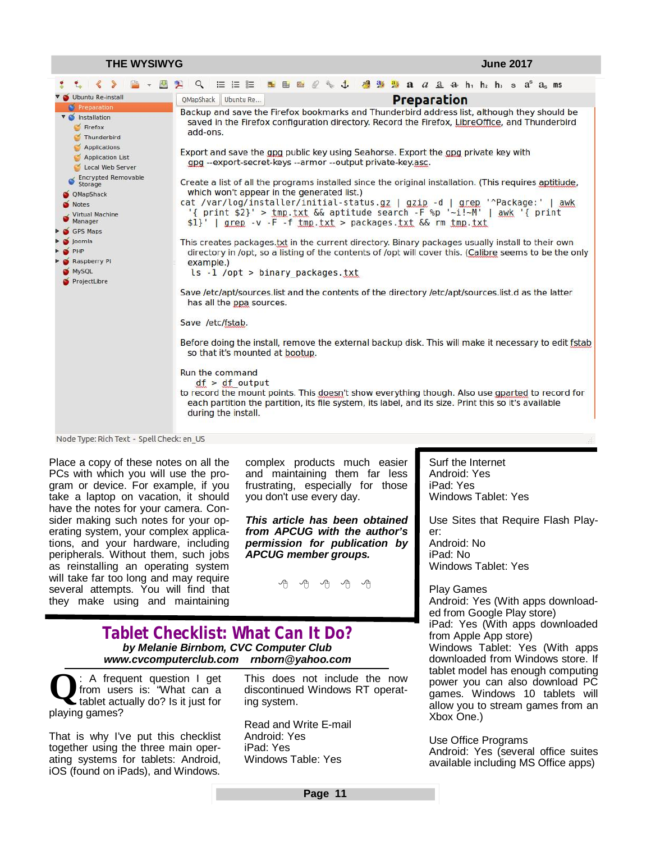| <b>THE WYSIWYG</b>                                                                                                                                                                                                                                                                                               |                                                                                                                                                                                                                                                                                                                                                                                                                                                                                                                                                                                                                                                                                                                                                                                                                                                                                                                                                                                                                                                                                                                                                                                                                                                                                                                                                                                                                                                                                                                                                                                            |                                               |                                                                                                                                                                           |  | <b>June 2017</b> |  |
|------------------------------------------------------------------------------------------------------------------------------------------------------------------------------------------------------------------------------------------------------------------------------------------------------------------|--------------------------------------------------------------------------------------------------------------------------------------------------------------------------------------------------------------------------------------------------------------------------------------------------------------------------------------------------------------------------------------------------------------------------------------------------------------------------------------------------------------------------------------------------------------------------------------------------------------------------------------------------------------------------------------------------------------------------------------------------------------------------------------------------------------------------------------------------------------------------------------------------------------------------------------------------------------------------------------------------------------------------------------------------------------------------------------------------------------------------------------------------------------------------------------------------------------------------------------------------------------------------------------------------------------------------------------------------------------------------------------------------------------------------------------------------------------------------------------------------------------------------------------------------------------------------------------------|-----------------------------------------------|---------------------------------------------------------------------------------------------------------------------------------------------------------------------------|--|------------------|--|
|                                                                                                                                                                                                                                                                                                                  | 挂 挂 胜<br>Q                                                                                                                                                                                                                                                                                                                                                                                                                                                                                                                                                                                                                                                                                                                                                                                                                                                                                                                                                                                                                                                                                                                                                                                                                                                                                                                                                                                                                                                                                                                                                                                 | $\mathbf{t}$<br>$\mathbb{R}^3$ $\mathbb{R}^4$ | <b>2.</b> $a$ $a$ $\underline{a}$ $\dnderline{a}$ $\dnderline{h}$ , $\dnderline{h}$ , $\dnderline{h}$ , $\underline{s}$ $\underline{a}$ <sup>s</sup> $\underline{a}$ , ms |  |                  |  |
| Ubuntu Re-install                                                                                                                                                                                                                                                                                                | QMapShack<br>Ubuntu Re                                                                                                                                                                                                                                                                                                                                                                                                                                                                                                                                                                                                                                                                                                                                                                                                                                                                                                                                                                                                                                                                                                                                                                                                                                                                                                                                                                                                                                                                                                                                                                     |                                               |                                                                                                                                                                           |  |                  |  |
| Preparation<br><b>v</b> Installation<br>$\leq$ Firefox<br>Thunderbird<br>Applications<br>Application List<br>Local Web Server<br><b>Encrypted Removable</b><br>Storage<br>O QMapShack<br><b>Notes</b><br><b>Virtual Machine</b><br>Manager<br>GPS Maps<br>Joomla<br>PHP<br>Raspberry Pi<br>MySQL<br>ProjectLibre | Backup and save the Firefox bookmarks and Thunderbird address list, although they should be<br>saved in the Firefox configuration directory. Record the Firefox, LibreOffice, and Thunderbird<br>add-ons.<br>Export and save the gpg public key using Seahorse. Export the gpg private key with<br>gpg --export-secret-keys --armor --output private-key.asc.<br>Create a list of all the programs installed since the original installation. (This requires aptitiude,<br>which won't appear in the generated list.)<br>cat /var/log/installer/initial-status.gz   gzip -d   grep '^Package:'   awk<br>'{ print \$2}' > tmp.txt && aptitude search -F %p '-i!-M'   awk '{ print<br>$$1$   grep -v -F -f tmp.txt > packages.txt && rm tmp.txt<br>This creates packages, txt in the current directory. Binary packages usually install to their own<br>directory in /opt, so a listing of the contents of /opt will cover this. (Calibre seems to be the only<br>example.)<br>$ls - 1$ /opt > binary packages.txt<br>Save /etc/apt/sources.list and the contents of the directory /etc/apt/sources.list.d as the latter<br>has all the ppa sources.<br>Save /etc/fstab.<br>Before doing the install, remove the external backup disk. This will make it necessary to edit fstab<br>so that it's mounted at bootup.<br>Run the command<br>$df > df$ output<br>to record the mount points. This doesn't show everything though. Also use gparted to record for<br>each partition the partition, its file system, its label, and its size. Print this so it's available<br>during the install. |                                               | <b>Preparation</b>                                                                                                                                                        |  |                  |  |
| Nade Tupe: Dich Toyt Cool Check: on UC                                                                                                                                                                                                                                                                           |                                                                                                                                                                                                                                                                                                                                                                                                                                                                                                                                                                                                                                                                                                                                                                                                                                                                                                                                                                                                                                                                                                                                                                                                                                                                                                                                                                                                                                                                                                                                                                                            |                                               |                                                                                                                                                                           |  |                  |  |

Node Type: Rich Text - Spell Check: en\_US

Place a copy of these notes on all the PCs with which you will use the program or device. For example, if you take a laptop on vacation, it should have the notes for your camera. Consider making such notes for your operating system, your complex applications, and your hardware, including peripherals. Without them, such jobs as reinstalling an operating system will take far too long and may require several attempts. You will find that they make using and maintaining

complex products much easier and maintaining them far less frustrating, especially for those you don't use every day.

*This article has been obtained from APCUG with the author's permission for publication by APCUG member groups.*



### **Tablet Checklist: What Can It Do?** *by Melanie Birnbom, CVC Computer Club [www.cvcomputerclub.com](http://www.cvcomputerclub.com) [rnborn@yahoo.com](mailto:rnborn@yahoo.com)*

**Q** : A frequent question I get from users is: "What can a tablet actually do? Is it just for playing games?

That is why I've put this checklist together using the three main operating systems for tablets: Android, iOS (found on iPads), and Windows.

This does not include the now discontinued Windows RT operating system.

Read and Write E-mail Android: Yes iPad: Yes Windows Table: Yes

Surf the Internet Android: Yes iPad: Yes Windows Tablet: Yes

Use Sites that Require Flash Player: Android: No iPad: No Windows Tablet: Yes

Play Games Android: Yes (With apps downloaded from Google Play store) iPad: Yes (With apps downloaded from Apple App store) Windows Tablet: Yes (With apps downloaded from Windows store. If tablet model has enough computing power you can also download PC games. Windows 10 tablets will allow you to stream games from an Xbox One.)

Use Office Programs Android: Yes (several office suites available including MS Office apps)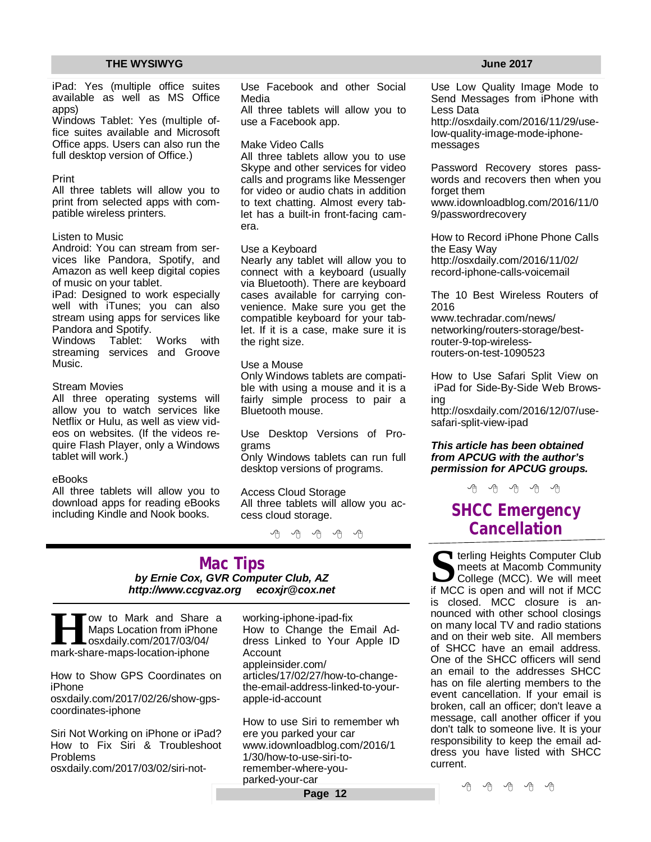iPad: Yes (multiple office suites available as well as MS Office apps)

Windows Tablet: Yes (multiple office suites available and Microsoft Office apps. Users can also run the full desktop version of Office.)

#### Print

All three tablets will allow you to print from selected apps with compatible wireless printers.

#### Listen to Music

Android: You can stream from services like Pandora, Spotify, and Amazon as well keep digital copies of music on your tablet.

iPad: Designed to work especially well with iTunes; you can also stream using apps for services like Pandora and Spotify.

Windows Tablet: Works with streaming services and Groove Music.

#### Stream Movies

All three operating systems will allow you to watch services like Netflix or Hulu, as well as view videos on websites. (If the videos require Flash Player, only a Windows tablet will work.)

#### eBooks

All three tablets will allow you to download apps for reading eBooks including Kindle and Nook books.

Use Facebook and other Social Media

All three tablets will allow you to use a Facebook app.

#### Make Video Calls

All three tablets allow you to use Skype and other services for video calls and programs like Messenger for video or audio chats in addition to text chatting. Almost every tablet has a built-in front-facing camera.

#### Use a Keyboard

Nearly any tablet will allow you to connect with a keyboard (usually via Bluetooth). There are keyboard cases available for carrying convenience. Make sure you get the compatible keyboard for your tablet. If it is a case, make sure it is the right size.

#### Use a Mouse

Only Windows tablets are compatible with using a mouse and it is a fairly simple process to pair a Bluetooth mouse.

Use Desktop Versions of Programs

Only Windows tablets can run full desktop versions of programs.

#### Access Cloud Storage All three tablets will allow you access cloud storage.

有 伯 伯 伯

### **Mac Tips** *by Ernie Cox, GVR Computer Club, AZ <http://www.ccgvaz.org> [ecoxjr@cox.net](mailto:ecoxjr@cox.net)*

**HI** ow to Mark and Share<br>Maps Location from iPhor<br>mark-share-maps-location-iphone ow to Mark and Share a Maps Location from iPhone osxdaily.com/2017/03/04/

How to Show GPS Coordinates on iPhone

osxdaily.com/2017/02/26/show-gpscoordinates-iphone

Siri Not Working on iPhone or iPad? How to Fix Siri & Troubleshoot Problems

osxdaily.com/2017/03/02/siri-not-

working-iphone-ipad-fix How to Change the Email Address Linked to Your Apple ID Account appleinsider.com/ articles/17/02/27/how-to-changethe-email-address-linked-to-yourapple-id-account

How to use Siri to remember wh ere you parked your car [www.idownloadblog.com/2016/1](http://www.idownloadblog.com/2016/1) 1/30/how-to-use-siri-toremember-where-youparked-your-car

#### **Page 12**

Use Low Quality Image Mode to Send Messages from iPhone with Less Data

[http://osxdaily.com/2016/11/29/use](http://osxdaily.com/2016/11/29/use-)low-quality-image-mode-iphonemessages

Password Recovery stores passwords and recovers then when you forget them

[www.idownloadblog.com/2016/11/0](http://www.idownloadblog.com/2016/11/0) 9/passwordrecovery

How to Record iPhone Phone Calls the Easy Way <http://osxdaily.com/2016/11/02/> record-iphone-calls-voicemail

The 10 Best Wireless Routers of 2016

[www.techradar.com/news/](http://www.techradar.com/news/) networking/routers-storage/bestrouter-9-top-wirelessrouters-on-test-1090523

How to Use Safari Split View on iPad for Side-By-Side Web Browsing

[http://osxdaily.com/2016/12/07/use](http://osxdaily.com/2016/12/07/use-)safari-split-view-ipad

#### *This article has been obtained from APCUG with the author's permission for APCUG groups.*

中 中 中 中 中

# **SHCC Emergency Cancellation**

**S S i** terling Heights Computer Club<br>
meets at Macomb Community<br>
College (MCC). We will meet<br>
if MCC is open and will not if MCC **T** terling Heights Computer Club meets at Macomb Community College (MCC). We will meet is closed. MCC closure is announced with other school closings on many local TV and radio stations and on their web site. All members of SHCC have an email address. One of the SHCC officers will send an email to the addresses SHCC has on file alerting members to the event cancellation. If your email is broken, call an officer; don't leave a message, call another officer if you don't talk to someone live. It is your responsibility to keep the email address you have listed with SHCC current.

A A A A A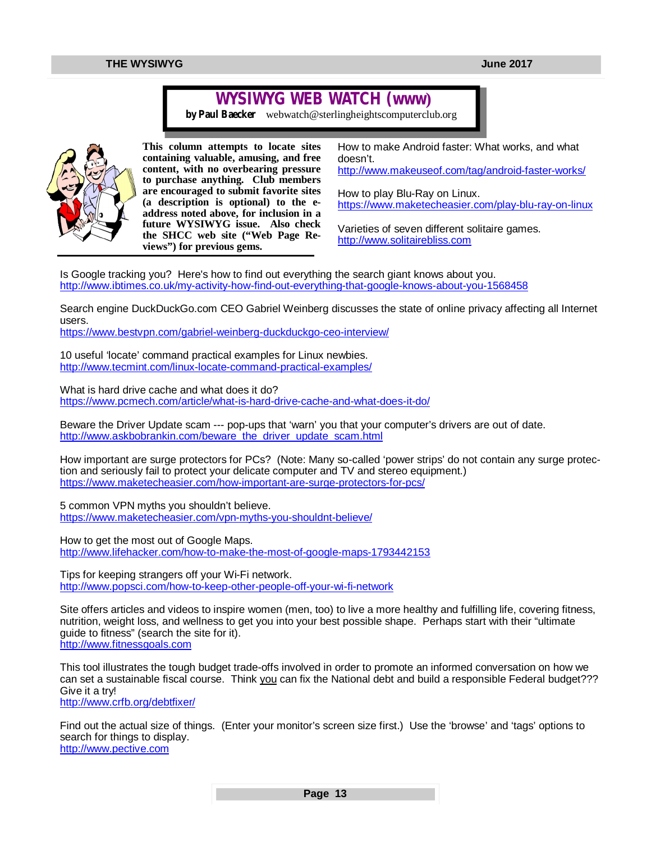# **WYSIWYG WEB WATCH (www)**

*by Paul Baecker* [webwatch@sterlingheightscomputerclub.org](mailto:webwatch@sterlingheightscomputerclub.org)



**This column attempts to locate sites containing valuable, amusing, and free content, with no overbearing pressure to purchase anything. Club members are encouraged to submit favorite sites (a description is optional) to the eaddress noted above, for inclusion in a future WYSIWYG issue. Also check the SHCC web site ("Web Page Reviews") for previous gems.** 

How to make Android faster: What works, and what doesn't. <http://www.makeuseof.com/tag/android-faster-works/>

How to play Blu-Ray on Linux. <https://www.maketecheasier.com/play-blu-ray-on-linux>

Varieties of seven different solitaire games. <http://www.solitairebliss.com>

Is Google tracking you? Here's how to find out everything the search giant knows about you. <http://www.ibtimes.co.uk/my-activity-how-find-out-everything-that-google-knows-about-you-1568458>

Search engine DuckDuckGo.com CEO Gabriel Weinberg discusses the state of online privacy affecting all Internet users.

<https://www.bestvpn.com/gabriel-weinberg-duckduckgo-ceo-interview/>

10 useful 'locate' command practical examples for Linux newbies. <http://www.tecmint.com/linux-locate-command-practical-examples/>

What is hard drive cache and what does it do? <https://www.pcmech.com/article/what-is-hard-drive-cache-and-what-does-it-do/>

Beware the Driver Update scam --- pop-ups that 'warn' you that your computer's drivers are out of date. [http://www.askbobrankin.com/beware\\_the\\_driver\\_update\\_scam.html](http://www.askbobrankin.com/beware_the_driver_update_scam.html)

How important are surge protectors for PCs? (Note: Many so-called 'power strips' do not contain any surge protection and seriously fail to protect your delicate computer and TV and stereo equipment.) <https://www.maketecheasier.com/how-important-are-surge-protectors-for-pcs/>

5 common VPN myths you shouldn't believe. <https://www.maketecheasier.com/vpn-myths-you-shouldnt-believe/>

How to get the most out of Google Maps. <http://www.lifehacker.com/how-to-make-the-most-of-google-maps-1793442153>

Tips for keeping strangers off your Wi-Fi network. <http://www.popsci.com/how-to-keep-other-people-off-your-wi-fi-network>

Site offers articles and videos to inspire women (men, too) to live a more healthy and fulfilling life, covering fitness, nutrition, weight loss, and wellness to get you into your best possible shape. Perhaps start with their "ultimate guide to fitness" (search the site for it). <http://www.fitnessgoals.com>

This tool illustrates the tough budget trade-offs involved in order to promote an informed conversation on how we can set a sustainable fiscal course. Think you can fix the National debt and build a responsible Federal budget??? Give it a try!

<http://www.crfb.org/debtfixer/>

Find out the actual size of things. (Enter your monitor's screen size first.) Use the 'browse' and 'tags' options to search for things to display. <http://www.pective.com>

**Page 13**